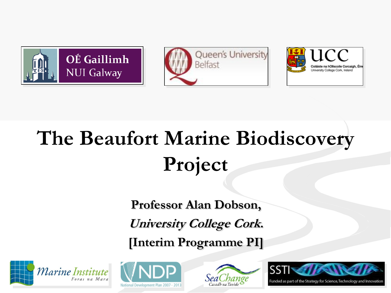





## **The Beaufort Marine Biodiscovery Project**

**Professor Alan Dobson, University College Cork. [Interim Programme PI]** 









Funded as part of the Strategy for Science, Technology and Innovation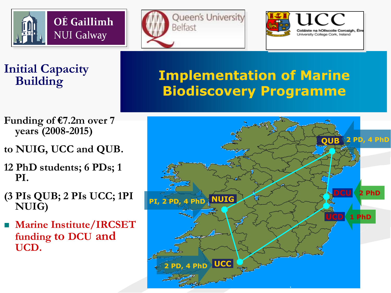





#### **Initial Capacity Building**

### **Implementation of Marine Biodiscovery Programme**

- **Funding of €7.2m over 7 years (2008-2015)**
- **to NUIG, UCC and QUB.**
- **12 PhD students; 6 PDs; 1 PI.**
- **(3 PIs QUB; 2 PIs UCC; 1PI NUIG)**
- **Marine Institute/IRCSET funding to DCU and UCD.**

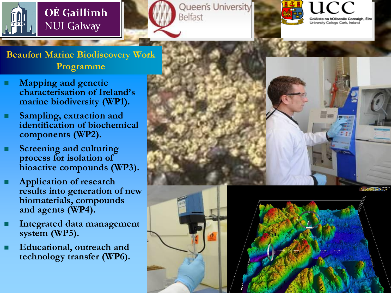







**Beaufort Marine Biodiscovery Work Programme**

- **Mapping and genetic characterisation of Ireland's marine biodiversity (WP1).**
- **Sampling, extraction and identification of biochemical components (WP2).**
- **Screening and culturing process for isolation of bioactive compounds (WP3).**
- **Application of research results into generation of new biomaterials, compounds and agents (WP4).**
- **Integrated data management system (WP5).**
- **Educational, outreach and technology transfer (WP6).**



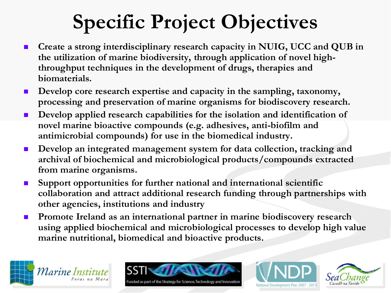### **Specific Project Objectives**

- **Create a strong interdisciplinary research capacity in NUIG, UCC and QUB in the utilization of marine biodiversity, through application of novel highthroughput techniques in the development of drugs, therapies and biomaterials.**
- Develop core research expertise and capacity in the sampling, taxonomy, **processing and preservation of marine organisms for biodiscovery research.**
- **Develop applied research capabilities for the isolation and identification of novel marine bioactive compounds (e.g. adhesives, anti-biofilm and antimicrobial compounds) for use in the biomedical industry.**
- **Develop an integrated management system for data collection, tracking and archival of biochemical and microbiological products/compounds extracted from marine organisms.**
- **Support opportunities for further national and international scientific collaboration and attract additional research funding through partnerships with other agencies, institutions and industry**
- **Promote Ireland as an international partner in marine biodiscovery research using applied biochemical and microbiological processes to develop high value marine nutritional, biomedical and bioactive products.**





nded as part of the Strategy for Science, Technology and Innovation



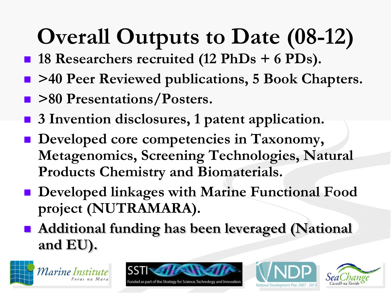# **Overall Outputs to Date (08-12)**

- **18 Researchers recruited (12 PhDs + 6 PDs).**
- **>40 Peer Reviewed publications, 5 Book Chapters.**
- **>80 Presentations/Posters.**
- 3 Invention disclosures, 1 patent application.
- $\blacksquare$  Developed core competencies in Taxonomy, **Metagenomics, Screening Technologies, Natural Products Chemistry and Biomaterials.**
- **Developed linkages with Marine Functional Food project (NUTRAMARA).**
- **Additional funding has been leveraged (National and EU).**